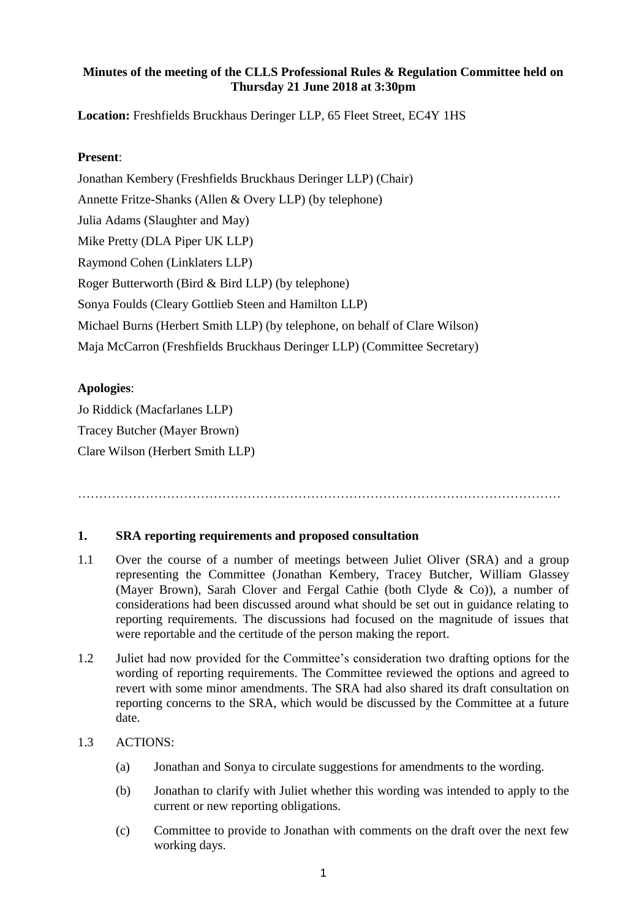# **Minutes of the meeting of the CLLS Professional Rules & Regulation Committee held on Thursday 21 June 2018 at 3:30pm**

**Location:** Freshfields Bruckhaus Deringer LLP, 65 Fleet Street, EC4Y 1HS

# **Present**:

Jonathan Kembery (Freshfields Bruckhaus Deringer LLP) (Chair) Annette Fritze-Shanks (Allen & Overy LLP) (by telephone) Julia Adams (Slaughter and May) Mike Pretty (DLA Piper UK LLP) Raymond Cohen (Linklaters LLP) Roger Butterworth (Bird & Bird LLP) (by telephone) Sonya Foulds (Cleary Gottlieb Steen and Hamilton LLP) Michael Burns (Herbert Smith LLP) (by telephone, on behalf of Clare Wilson) Maja McCarron (Freshfields Bruckhaus Deringer LLP) (Committee Secretary)

# **Apologies**:

Jo Riddick (Macfarlanes LLP) Tracey Butcher (Mayer Brown) Clare Wilson (Herbert Smith LLP)

……………………………………………………………………………………………………

#### **1. SRA reporting requirements and proposed consultation**

- 1.1 Over the course of a number of meetings between Juliet Oliver (SRA) and a group representing the Committee (Jonathan Kembery, Tracey Butcher, William Glassey (Mayer Brown), Sarah Clover and Fergal Cathie (both Clyde & Co)), a number of considerations had been discussed around what should be set out in guidance relating to reporting requirements. The discussions had focused on the magnitude of issues that were reportable and the certitude of the person making the report.
- 1.2 Juliet had now provided for the Committee's consideration two drafting options for the wording of reporting requirements. The Committee reviewed the options and agreed to revert with some minor amendments. The SRA had also shared its draft consultation on reporting concerns to the SRA, which would be discussed by the Committee at a future date.

#### 1.3 ACTIONS:

- (a) Jonathan and Sonya to circulate suggestions for amendments to the wording.
- (b) Jonathan to clarify with Juliet whether this wording was intended to apply to the current or new reporting obligations.
- (c) Committee to provide to Jonathan with comments on the draft over the next few working days.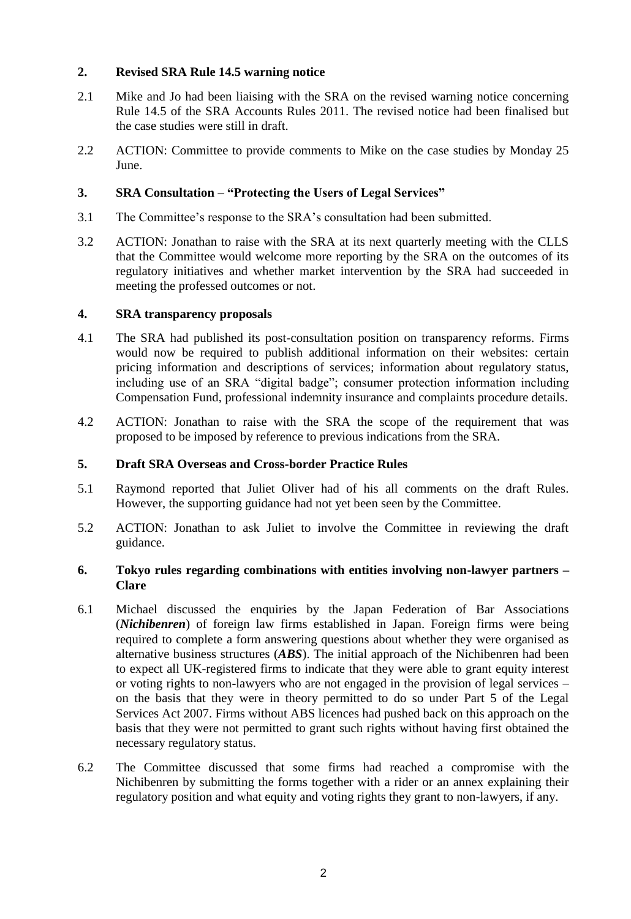# **2. Revised SRA Rule 14.5 warning notice**

- 2.1 Mike and Jo had been liaising with the SRA on the revised warning notice concerning Rule 14.5 of the SRA Accounts Rules 2011. The revised notice had been finalised but the case studies were still in draft.
- 2.2 ACTION: Committee to provide comments to Mike on the case studies by Monday 25 June.

# **3. SRA Consultation – "Protecting the Users of Legal Services"**

- 3.1 The Committee's response to the SRA's consultation had been submitted.
- 3.2 ACTION: Jonathan to raise with the SRA at its next quarterly meeting with the CLLS that the Committee would welcome more reporting by the SRA on the outcomes of its regulatory initiatives and whether market intervention by the SRA had succeeded in meeting the professed outcomes or not.

#### **4. SRA transparency proposals**

- 4.1 The SRA had published its post-consultation position on transparency reforms. Firms would now be required to publish additional information on their websites: certain pricing information and descriptions of services; information about regulatory status, including use of an SRA "digital badge"; consumer protection information including Compensation Fund, professional indemnity insurance and complaints procedure details.
- 4.2 ACTION: Jonathan to raise with the SRA the scope of the requirement that was proposed to be imposed by reference to previous indications from the SRA.

#### **5. Draft SRA Overseas and Cross-border Practice Rules**

- 5.1 Raymond reported that Juliet Oliver had of his all comments on the draft Rules. However, the supporting guidance had not yet been seen by the Committee.
- 5.2 ACTION: Jonathan to ask Juliet to involve the Committee in reviewing the draft guidance.

#### **6. Tokyo rules regarding combinations with entities involving non-lawyer partners – Clare**

- 6.1 Michael discussed the enquiries by the Japan Federation of Bar Associations (*Nichibenren*) of foreign law firms established in Japan. Foreign firms were being required to complete a form answering questions about whether they were organised as alternative business structures (*ABS*). The initial approach of the Nichibenren had been to expect all UK-registered firms to indicate that they were able to grant equity interest or voting rights to non-lawyers who are not engaged in the provision of legal services – on the basis that they were in theory permitted to do so under Part 5 of the Legal Services Act 2007. Firms without ABS licences had pushed back on this approach on the basis that they were not permitted to grant such rights without having first obtained the necessary regulatory status.
- 6.2 The Committee discussed that some firms had reached a compromise with the Nichibenren by submitting the forms together with a rider or an annex explaining their regulatory position and what equity and voting rights they grant to non-lawyers, if any.